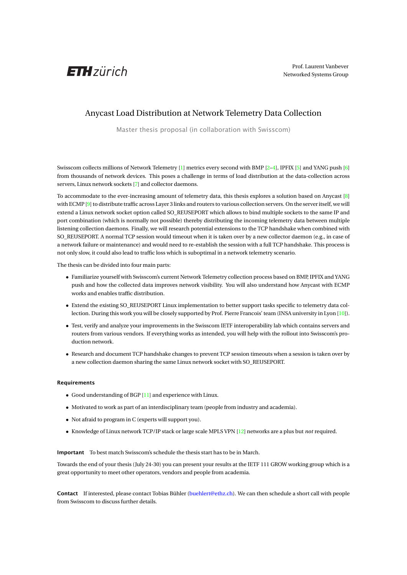

## Anycast Load Distribution at Network Telemetry Data Collection

Master thesis proposal (in collaboration with Swisscom)

Swisscom collects millions of Network Telemetry [\[1\]](#page-1-0) metrics every second with BMP [\[2–](#page-1-1)[4\]](#page-1-2), IPFIX [\[5\]](#page-1-3) and YANG push [\[6\]](#page-1-4) from thousands of network devices. This poses a challenge in terms of load distribution at the data-collection across servers, Linux network sockets [\[7\]](#page-1-5) and collector daemons.

To accommodate to the ever-increasing amount of telemetry data, this thesis explores a solution based on Anycast [\[8\]](#page-1-6) with ECMP [\[9\]](#page-1-7) to distribute traffic across Layer 3 links and routers to various collection servers. On the server itself, we will extend a Linux network socket option called SO\_REUSEPORT which allows to bind multiple sockets to the same IP and port combination (which is normally not possible) thereby distributing the incoming telemetry data between multiple listening collection daemons. Finally, we will research potential extensions to the TCP handshake when combined with SO\_REUSEPORT. A normal TCP session would timeout when it is taken over by a new collector daemon (e.g., in case of a network failure or maintenance) and would need to re-establish the session with a full TCP handshake. This process is not only slow, it could also lead to traffic loss which is suboptimal in a network telemetry scenario.

The thesis can be divided into four main parts:

- Familiarize yourself with Swisscom's current Network Telemetry collection process based on BMP, IPFIX and YANG push and how the collected data improves network visibility. You will also understand how Anycast with ECMP works and enables traffic distribution.
- Extend the existing SO\_REUSEPORT Linux implementation to better support tasks specific to telemetry data collection. During this work you will be closely supported by Prof. Pierre Francois' team (INSA university in Lyon [\[10\]](#page-1-8)).
- Test, verify and analyze your improvements in the Swisscom IETF interoperability lab which contains servers and routers from various vendors. If everything works as intended, you will help with the rollout into Swisscom's production network.
- Research and document TCP handshake changes to prevent TCP session timeouts when a session is taken over by a new collection daemon sharing the same Linux network socket with SO\_REUSEPORT.

## Requirements

- Good understanding of BGP [\[11\]](#page-1-9) and experience with Linux.
- Motivated to work as part of an interdisciplinary team (people from industry and academia).
- Not afraid to program in C (experts will support you).
- Knowledge of Linux network TCP/IP stack or large scale MPLS VPN [\[12\]](#page-1-10) networks are a plus but *not* required.

Important To best match Swisscom's schedule the thesis start has to be in March.

Towards the end of your thesis (July 24-30) you can present your results at the IETF 111 GROW working group which is a great opportunity to meet other operators, vendors and people from academia.

Contact If interested, please contact Tobias Bühler [\(buehlert@ethz.ch\)](mailto:<buehlert@ethz.ch>). We can then schedule a short call with people from Swisscom to discuss further details.